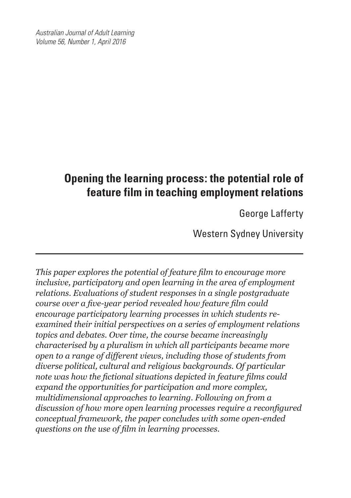*Australian Journal of Adult Learning Volume 56, Number 1, April 2016*

# **Opening the learning process: the potential role of feature film in teaching employment relations**

George Lafferty

Western Sydney University

*This paper explores the potential of feature film to encourage more inclusive, participatory and open learning in the area of employment relations. Evaluations of student responses in a single postgraduate course over a five-year period revealed how feature film could encourage participatory learning processes in which students reexamined their initial perspectives on a series of employment relations topics and debates. Over time, the course became increasingly characterised by a pluralism in which all participants became more open to a range of different views, including those of students from diverse political, cultural and religious backgrounds. Of particular note was how the fictional situations depicted in feature films could expand the opportunities for participation and more complex, multidimensional approaches to learning. Following on from a discussion of how more open learning processes require a reconfigured conceptual framework, the paper concludes with some open-ended questions on the use of film in learning processes.*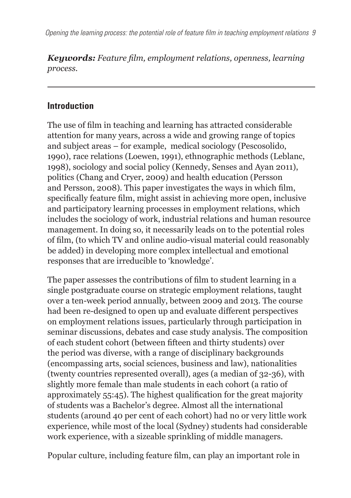*Keywords: Feature film, employment relations, openness, learning process.*

#### **Introduction**

The use of film in teaching and learning has attracted considerable attention for many years, across a wide and growing range of topics and subject areas – for example, medical sociology (Pescosolido, 1990), race relations (Loewen, 1991), ethnographic methods (Leblanc, 1998), sociology and social policy (Kennedy, Senses and Ayan 2011), politics (Chang and Cryer, 2009) and health education (Persson and Persson, 2008). This paper investigates the ways in which film, specifically feature film, might assist in achieving more open, inclusive and participatory learning processes in employment relations, which includes the sociology of work, industrial relations and human resource management. In doing so, it necessarily leads on to the potential roles of film, (to which TV and online audio-visual material could reasonably be added) in developing more complex intellectual and emotional responses that are irreducible to 'knowledge'.

The paper assesses the contributions of film to student learning in a single postgraduate course on strategic employment relations, taught over a ten-week period annually, between 2009 and 2013. The course had been re-designed to open up and evaluate different perspectives on employment relations issues, particularly through participation in seminar discussions, debates and case study analysis. The composition of each student cohort (between fifteen and thirty students) over the period was diverse, with a range of disciplinary backgrounds (encompassing arts, social sciences, business and law), nationalities (twenty countries represented overall), ages (a median of 32-36), with slightly more female than male students in each cohort (a ratio of approximately 55:45). The highest qualification for the great majority of students was a Bachelor's degree. Almost all the international students (around 40 per cent of each cohort) had no or very little work experience, while most of the local (Sydney) students had considerable work experience, with a sizeable sprinkling of middle managers.

Popular culture, including feature film, can play an important role in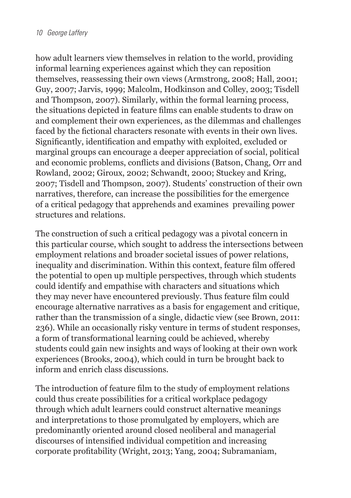how adult learners view themselves in relation to the world, providing informal learning experiences against which they can reposition themselves, reassessing their own views (Armstrong, 2008; Hall, 2001; Guy, 2007; Jarvis, 1999; Malcolm, Hodkinson and Colley, 2003; Tisdell and Thompson, 2007). Similarly, within the formal learning process, the situations depicted in feature films can enable students to draw on and complement their own experiences, as the dilemmas and challenges faced by the fictional characters resonate with events in their own lives. Significantly, identification and empathy with exploited, excluded or marginal groups can encourage a deeper appreciation of social, political and economic problems, conflicts and divisions (Batson, Chang, Orr and Rowland, 2002; Giroux, 2002; Schwandt, 2000; Stuckey and Kring, 2007; Tisdell and Thompson, 2007). Students' construction of their own narratives, therefore, can increase the possibilities for the emergence of a critical pedagogy that apprehends and examines prevailing power structures and relations.

The construction of such a critical pedagogy was a pivotal concern in this particular course, which sought to address the intersections between employment relations and broader societal issues of power relations, inequality and discrimination. Within this context, feature film offered the potential to open up multiple perspectives, through which students could identify and empathise with characters and situations which they may never have encountered previously. Thus feature film could encourage alternative narratives as a basis for engagement and critique, rather than the transmission of a single, didactic view (see Brown, 2011: 236). While an occasionally risky venture in terms of student responses, a form of transformational learning could be achieved, whereby students could gain new insights and ways of looking at their own work experiences (Brooks, 2004), which could in turn be brought back to inform and enrich class discussions.

The introduction of feature film to the study of employment relations could thus create possibilities for a critical workplace pedagogy through which adult learners could construct alternative meanings and interpretations to those promulgated by employers, which are predominantly oriented around closed neoliberal and managerial discourses of intensified individual competition and increasing corporate profitability (Wright, 2013; Yang, 2004; Subramaniam,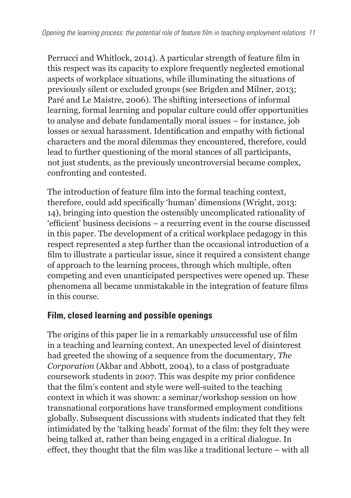Perrucci and Whitlock, 2014). A particular strength of feature film in this respect was its capacity to explore frequently neglected emotional aspects of workplace situations, while illuminating the situations of previously silent or excluded groups (see Brigden and Milner, 2013; Paré and Le Maistre, 2006). The shifting intersections of informal learning, formal learning and popular culture could offer opportunities to analyse and debate fundamentally moral issues – for instance, job losses or sexual harassment. Identification and empathy with fictional characters and the moral dilemmas they encountered, therefore, could lead to further questioning of the moral stances of all participants, not just students, as the previously uncontroversial became complex, confronting and contested.

The introduction of feature film into the formal teaching context, therefore, could add specifically 'human' dimensions (Wright, 2013: 14), bringing into question the ostensibly uncomplicated rationality of 'efficient' business decisions – a recurring event in the course discussed in this paper. The development of a critical workplace pedagogy in this respect represented a step further than the occasional introduction of a film to illustrate a particular issue, since it required a consistent change of approach to the learning process, through which multiple, often competing and even unanticipated perspectives were opened up. These phenomena all became unmistakable in the integration of feature films in this course.

#### **Film, closed learning and possible openings**

The origins of this paper lie in a remarkably *un*successful use of film in a teaching and learning context. An unexpected level of disinterest had greeted the showing of a sequence from the documentary, *The Corporation* (Akbar and Abbott, 2004), to a class of postgraduate coursework students in 2007. This was despite my prior confidence that the film's content and style were well-suited to the teaching context in which it was shown: a seminar/workshop session on how transnational corporations have transformed employment conditions globally. Subsequent discussions with students indicated that they felt intimidated by the 'talking heads' format of the film: they felt they were being talked at, rather than being engaged in a critical dialogue. In effect, they thought that the film was like a traditional lecture – with all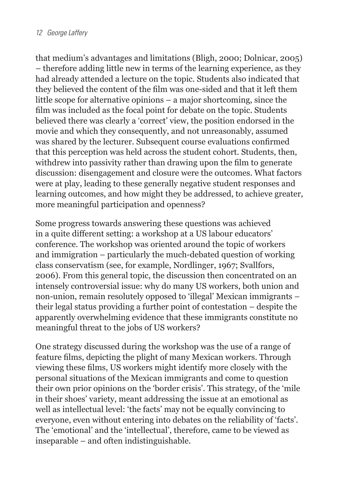that medium's advantages and limitations (Bligh, 2000; Dolnicar, 2005) – therefore adding little new in terms of the learning experience, as they had already attended a lecture on the topic. Students also indicated that they believed the content of the film was one-sided and that it left them little scope for alternative opinions – a major shortcoming, since the film was included as the focal point for debate on the topic. Students believed there was clearly a 'correct' view, the position endorsed in the movie and which they consequently, and not unreasonably, assumed was shared by the lecturer. Subsequent course evaluations confirmed that this perception was held across the student cohort. Students, then, withdrew into passivity rather than drawing upon the film to generate discussion: disengagement and closure were the outcomes. What factors were at play, leading to these generally negative student responses and learning outcomes, and how might they be addressed, to achieve greater, more meaningful participation and openness?

Some progress towards answering these questions was achieved in a quite different setting: a workshop at a US labour educators' conference. The workshop was oriented around the topic of workers and immigration – particularly the much-debated question of working class conservatism (see, for example, Nordlinger, 1967; Svallfors, 2006). From this general topic, the discussion then concentrated on an intensely controversial issue: why do many US workers, both union and non-union, remain resolutely opposed to 'illegal' Mexican immigrants – their legal status providing a further point of contestation – despite the apparently overwhelming evidence that these immigrants constitute no meaningful threat to the jobs of US workers?

One strategy discussed during the workshop was the use of a range of feature films, depicting the plight of many Mexican workers. Through viewing these films, US workers might identify more closely with the personal situations of the Mexican immigrants and come to question their own prior opinions on the 'border crisis'. This strategy, of the 'mile in their shoes' variety, meant addressing the issue at an emotional as well as intellectual level: 'the facts' may not be equally convincing to everyone, even without entering into debates on the reliability of 'facts'. The 'emotional' and the 'intellectual', therefore, came to be viewed as inseparable – and often indistinguishable.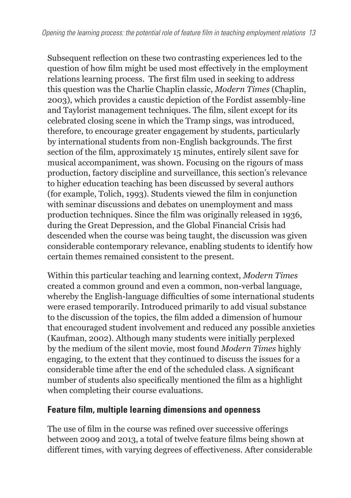Subsequent reflection on these two contrasting experiences led to the question of how film might be used most effectively in the employment relations learning process. The first film used in seeking to address this question was the Charlie Chaplin classic, *Modern Times* (Chaplin, 2003), which provides a caustic depiction of the Fordist assembly-line and Taylorist management techniques. The film, silent except for its celebrated closing scene in which the Tramp sings, was introduced, therefore, to encourage greater engagement by students, particularly by international students from non-English backgrounds. The first section of the film, approximately 15 minutes, entirely silent save for musical accompaniment, was shown. Focusing on the rigours of mass production, factory discipline and surveillance, this section's relevance to higher education teaching has been discussed by several authors (for example, Tolich, 1993). Students viewed the film in conjunction with seminar discussions and debates on unemployment and mass production techniques. Since the film was originally released in 1936, during the Great Depression, and the Global Financial Crisis had descended when the course was being taught, the discussion was given considerable contemporary relevance, enabling students to identify how certain themes remained consistent to the present.

Within this particular teaching and learning context, *Modern Times* created a common ground and even a common, non-verbal language, whereby the English-language difficulties of some international students were erased temporarily. Introduced primarily to add visual substance to the discussion of the topics, the film added a dimension of humour that encouraged student involvement and reduced any possible anxieties (Kaufman, 2002). Although many students were initially perplexed by the medium of the silent movie, most found *Modern Times* highly engaging, to the extent that they continued to discuss the issues for a considerable time after the end of the scheduled class. A significant number of students also specifically mentioned the film as a highlight when completing their course evaluations.

#### **Feature film, multiple learning dimensions and openness**

The use of film in the course was refined over successive offerings between 2009 and 2013, a total of twelve feature films being shown at different times, with varying degrees of effectiveness. After considerable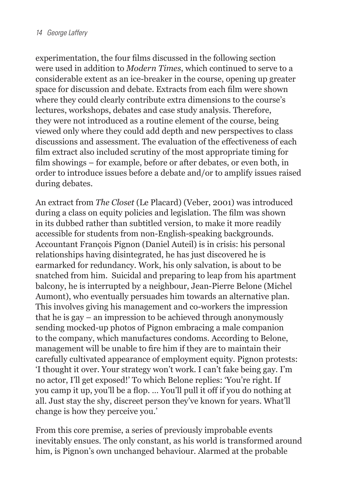experimentation, the four films discussed in the following section were used in addition to *Modern Times*, which continued to serve to a considerable extent as an ice-breaker in the course, opening up greater space for discussion and debate. Extracts from each film were shown where they could clearly contribute extra dimensions to the course's lectures, workshops, debates and case study analysis. Therefore, they were not introduced as a routine element of the course, being viewed only where they could add depth and new perspectives to class discussions and assessment. The evaluation of the effectiveness of each film extract also included scrutiny of the most appropriate timing for film showings – for example, before or after debates, or even both, in order to introduce issues before a debate and/or to amplify issues raised during debates.

An extract from *The Closet* (Le Placard) (Veber, 2001) was introduced during a class on equity policies and legislation. The film was shown in its dubbed rather than subtitled version, to make it more readily accessible for students from non-English-speaking backgrounds. Accountant François Pignon (Daniel Auteil) is in crisis: his personal relationships having disintegrated, he has just discovered he is earmarked for redundancy. Work, his only salvation, is about to be snatched from him. Suicidal and preparing to leap from his apartment balcony, he is interrupted by a neighbour, Jean-Pierre Belone (Michel Aumont), who eventually persuades him towards an alternative plan. This involves giving his management and co-workers the impression that he is gay – an impression to be achieved through anonymously sending mocked-up photos of Pignon embracing a male companion to the company, which manufactures condoms. According to Belone, management will be unable to fire him if they are to maintain their carefully cultivated appearance of employment equity. Pignon protests: 'I thought it over. Your strategy won't work. I can't fake being gay. I'm no actor, I'll get exposed!' To which Belone replies: 'You're right. If you camp it up, you'll be a flop. … You'll pull it off if you do nothing at all. Just stay the shy, discreet person they've known for years. What'll change is how they perceive you.'

From this core premise, a series of previously improbable events inevitably ensues. The only constant, as his world is transformed around him, is Pignon's own unchanged behaviour. Alarmed at the probable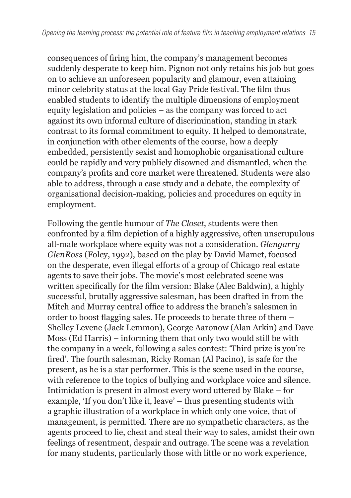consequences of firing him, the company's management becomes suddenly desperate to keep him. Pignon not only retains his job but goes on to achieve an unforeseen popularity and glamour, even attaining minor celebrity status at the local Gay Pride festival. The film thus enabled students to identify the multiple dimensions of employment equity legislation and policies – as the company was forced to act against its own informal culture of discrimination, standing in stark contrast to its formal commitment to equity. It helped to demonstrate, in conjunction with other elements of the course, how a deeply embedded, persistently sexist and homophobic organisational culture could be rapidly and very publicly disowned and dismantled, when the company's profits and core market were threatened. Students were also able to address, through a case study and a debate, the complexity of organisational decision-making, policies and procedures on equity in employment.

Following the gentle humour of *The Closet*, students were then confronted by a film depiction of a highly aggressive, often unscrupulous all-male workplace where equity was not a consideration. *Glengarry GlenRoss* (Foley, 1992), based on the play by David Mamet, focused on the desperate, even illegal efforts of a group of Chicago real estate agents to save their jobs. The movie's most celebrated scene was written specifically for the film version: Blake (Alec Baldwin), a highly successful, brutally aggressive salesman, has been drafted in from the Mitch and Murray central office to address the branch's salesmen in order to boost flagging sales. He proceeds to berate three of them – Shelley Levene (Jack Lemmon), George Aaronow (Alan Arkin) and Dave Moss (Ed Harris) – informing them that only two would still be with the company in a week, following a sales contest: 'Third prize is you're fired'. The fourth salesman, Ricky Roman (Al Pacino), is safe for the present, as he is a star performer. This is the scene used in the course, with reference to the topics of bullying and workplace voice and silence. Intimidation is present in almost every word uttered by Blake – for example, 'If you don't like it, leave' – thus presenting students with a graphic illustration of a workplace in which only one voice, that of management, is permitted. There are no sympathetic characters, as the agents proceed to lie, cheat and steal their way to sales, amidst their own feelings of resentment, despair and outrage. The scene was a revelation for many students, particularly those with little or no work experience,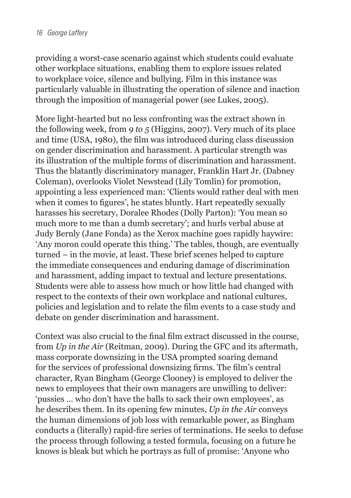providing a worst-case scenario against which students could evaluate other workplace situations, enabling them to explore issues related to workplace voice, silence and bullying. Film in this instance was particularly valuable in illustrating the operation of silence and inaction through the imposition of managerial power (see Lukes, 2005).

More light-hearted but no less confronting was the extract shown in the following week, from *9 to 5* (Higgins, 2007). Very much of its place and time (USA, 1980), the film was introduced during class discussion on gender discrimination and harassment. A particular strength was its illustration of the multiple forms of discrimination and harassment. Thus the blatantly discriminatory manager, Franklin Hart Jr. (Dabney Coleman), overlooks Violet Newstead (Lily Tomlin) for promotion, appointing a less experienced man: 'Clients would rather deal with men when it comes to figures', he states bluntly. Hart repeatedly sexually harasses his secretary, Doralee Rhodes (Dolly Parton): 'You mean so much more to me than a dumb secretary'; and hurls verbal abuse at Judy Bernly (Jane Fonda) as the Xerox machine goes rapidly haywire: 'Any moron could operate this thing.' The tables, though, are eventually turned – in the movie, at least. These brief scenes helped to capture the immediate consequences and enduring damage of discrimination and harassment, adding impact to textual and lecture presentations. Students were able to assess how much or how little had changed with respect to the contexts of their own workplace and national cultures, policies and legislation and to relate the film events to a case study and debate on gender discrimination and harassment.

Context was also crucial to the final film extract discussed in the course, from *Up in the Air* (Reitman, 2009). During the GFC and its aftermath, mass corporate downsizing in the USA prompted soaring demand for the services of professional downsizing firms. The film's central character, Ryan Bingham (George Clooney) is employed to deliver the news to employees that their own managers are unwilling to deliver: 'pussies … who don't have the balls to sack their own employees', as he describes them. In its opening few minutes, *Up in the Air* conveys the human dimensions of job loss with remarkable power, as Bingham conducts a (literally) rapid-fire series of terminations. He seeks to defuse the process through following a tested formula, focusing on a future he knows is bleak but which he portrays as full of promise: 'Anyone who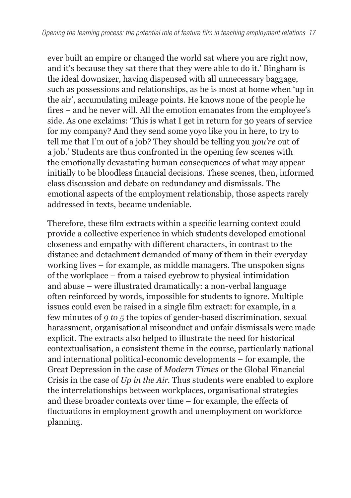ever built an empire or changed the world sat where you are right now, and it's because they sat there that they were able to do it.' Bingham is the ideal downsizer, having dispensed with all unnecessary baggage, such as possessions and relationships, as he is most at home when 'up in the air', accumulating mileage points. He knows none of the people he fires – and he never will. All the emotion emanates from the employee's side. As one exclaims: 'This is what I get in return for 30 years of service for my company? And they send some yoyo like you in here, to try to tell me that I'm out of a job? They should be telling you *you're* out of a job.' Students are thus confronted in the opening few scenes with the emotionally devastating human consequences of what may appear initially to be bloodless financial decisions. These scenes, then, informed class discussion and debate on redundancy and dismissals. The emotional aspects of the employment relationship, those aspects rarely addressed in texts, became undeniable.

Therefore, these film extracts within a specific learning context could provide a collective experience in which students developed emotional closeness and empathy with different characters, in contrast to the distance and detachment demanded of many of them in their everyday working lives – for example, as middle managers. The unspoken signs of the workplace – from a raised eyebrow to physical intimidation and abuse – were illustrated dramatically: a non-verbal language often reinforced by words, impossible for students to ignore. Multiple issues could even be raised in a single film extract: for example, in a few minutes of *9 to 5* the topics of gender-based discrimination, sexual harassment, organisational misconduct and unfair dismissals were made explicit. The extracts also helped to illustrate the need for historical contextualisation, a consistent theme in the course, particularly national and international political-economic developments – for example, the Great Depression in the case of *Modern Times* or the Global Financial Crisis in the case of *Up in the Air*. Thus students were enabled to explore the interrelationships between workplaces, organisational strategies and these broader contexts over time – for example, the effects of fluctuations in employment growth and unemployment on workforce planning.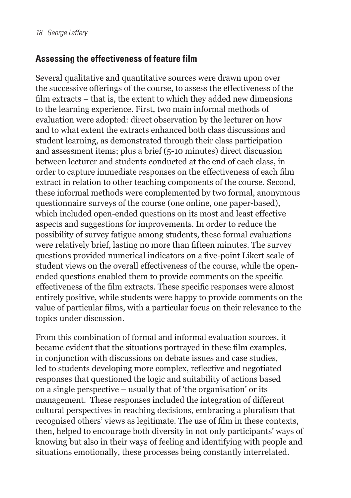## **Assessing the effectiveness of feature film**

Several qualitative and quantitative sources were drawn upon over the successive offerings of the course, to assess the effectiveness of the film extracts – that is, the extent to which they added new dimensions to the learning experience. First, two main informal methods of evaluation were adopted: direct observation by the lecturer on how and to what extent the extracts enhanced both class discussions and student learning, as demonstrated through their class participation and assessment items; plus a brief (5-10 minutes) direct discussion between lecturer and students conducted at the end of each class, in order to capture immediate responses on the effectiveness of each film extract in relation to other teaching components of the course. Second, these informal methods were complemented by two formal, anonymous questionnaire surveys of the course (one online, one paper-based), which included open-ended questions on its most and least effective aspects and suggestions for improvements. In order to reduce the possibility of survey fatigue among students, these formal evaluations were relatively brief, lasting no more than fifteen minutes. The survey questions provided numerical indicators on a five-point Likert scale of student views on the overall effectiveness of the course, while the openended questions enabled them to provide comments on the specific effectiveness of the film extracts. These specific responses were almost entirely positive, while students were happy to provide comments on the value of particular films, with a particular focus on their relevance to the topics under discussion.

From this combination of formal and informal evaluation sources, it became evident that the situations portrayed in these film examples, in conjunction with discussions on debate issues and case studies, led to students developing more complex, reflective and negotiated responses that questioned the logic and suitability of actions based on a single perspective – usually that of 'the organisation' or its management. These responses included the integration of different cultural perspectives in reaching decisions, embracing a pluralism that recognised others' views as legitimate. The use of film in these contexts, then, helped to encourage both diversity in not only participants' ways of knowing but also in their ways of feeling and identifying with people and situations emotionally, these processes being constantly interrelated.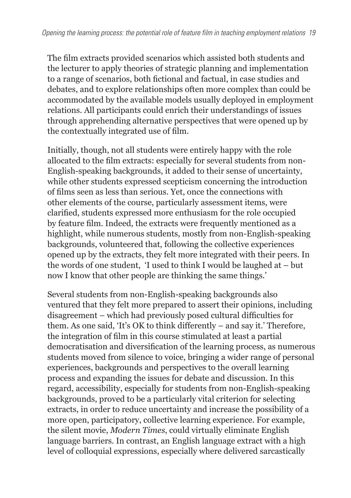The film extracts provided scenarios which assisted both students and the lecturer to apply theories of strategic planning and implementation to a range of scenarios, both fictional and factual, in case studies and debates, and to explore relationships often more complex than could be accommodated by the available models usually deployed in employment relations. All participants could enrich their understandings of issues through apprehending alternative perspectives that were opened up by the contextually integrated use of film.

Initially, though, not all students were entirely happy with the role allocated to the film extracts: especially for several students from non-English-speaking backgrounds, it added to their sense of uncertainty, while other students expressed scepticism concerning the introduction of films seen as less than serious. Yet, once the connections with other elements of the course, particularly assessment items, were clarified, students expressed more enthusiasm for the role occupied by feature film. Indeed, the extracts were frequently mentioned as a highlight, while numerous students, mostly from non-English-speaking backgrounds, volunteered that, following the collective experiences opened up by the extracts, they felt more integrated with their peers. In the words of one student, 'I used to think I would be laughed at – but now I know that other people are thinking the same things.'

Several students from non-English-speaking backgrounds also ventured that they felt more prepared to assert their opinions, including disagreement – which had previously posed cultural difficulties for them. As one said, 'It's OK to think differently – and say it.' Therefore, the integration of film in this course stimulated at least a partial democratisation and diversification of the learning process, as numerous students moved from silence to voice, bringing a wider range of personal experiences, backgrounds and perspectives to the overall learning process and expanding the issues for debate and discussion. In this regard, accessibility, especially for students from non-English-speaking backgrounds, proved to be a particularly vital criterion for selecting extracts, in order to reduce uncertainty and increase the possibility of a more open, participatory, collective learning experience. For example, the silent movie, *Modern Times*, could virtually eliminate English language barriers. In contrast, an English language extract with a high level of colloquial expressions, especially where delivered sarcastically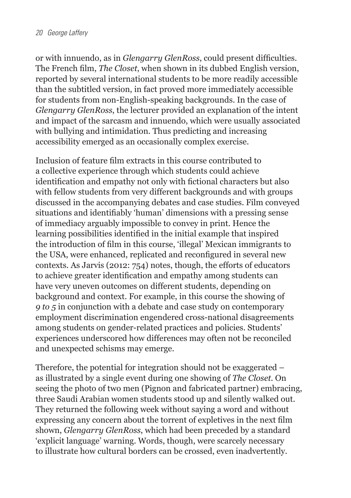or with innuendo, as in *Glengarry GlenRoss*, could present difficulties. The French film, *The Closet*, when shown in its dubbed English version, reported by several international students to be more readily accessible than the subtitled version, in fact proved more immediately accessible for students from non-English-speaking backgrounds. In the case of *Glengarry GlenRoss*, the lecturer provided an explanation of the intent and impact of the sarcasm and innuendo, which were usually associated with bullying and intimidation. Thus predicting and increasing accessibility emerged as an occasionally complex exercise.

Inclusion of feature film extracts in this course contributed to a collective experience through which students could achieve identification and empathy not only with fictional characters but also with fellow students from very different backgrounds and with groups discussed in the accompanying debates and case studies. Film conveyed situations and identifiably 'human' dimensions with a pressing sense of immediacy arguably impossible to convey in print. Hence the learning possibilities identified in the initial example that inspired the introduction of film in this course, 'illegal' Mexican immigrants to the USA, were enhanced, replicated and reconfigured in several new contexts. As Jarvis (2012: 754) notes, though, the efforts of educators to achieve greater identification and empathy among students can have very uneven outcomes on different students, depending on background and context. For example, in this course the showing of *9 to 5* in conjunction with a debate and case study on contemporary employment discrimination engendered cross-national disagreements among students on gender-related practices and policies. Students' experiences underscored how differences may often not be reconciled and unexpected schisms may emerge.

Therefore, the potential for integration should not be exaggerated – as illustrated by a single event during one showing of *The Closet*. On seeing the photo of two men (Pignon and fabricated partner) embracing, three Saudi Arabian women students stood up and silently walked out. They returned the following week without saying a word and without expressing any concern about the torrent of expletives in the next film shown, *Glengarry GlenRoss*, which had been preceded by a standard 'explicit language' warning. Words, though, were scarcely necessary to illustrate how cultural borders can be crossed, even inadvertently.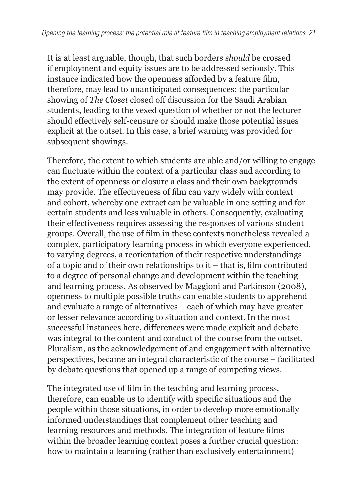It is at least arguable, though, that such borders *should* be crossed if employment and equity issues are to be addressed seriously. This instance indicated how the openness afforded by a feature film, therefore, may lead to unanticipated consequences: the particular showing of *The Closet* closed off discussion for the Saudi Arabian students, leading to the vexed question of whether or not the lecturer should effectively self-censure or should make those potential issues explicit at the outset. In this case, a brief warning was provided for subsequent showings.

Therefore, the extent to which students are able and/or willing to engage can fluctuate within the context of a particular class and according to the extent of openness or closure a class and their own backgrounds may provide. The effectiveness of film can vary widely with context and cohort, whereby one extract can be valuable in one setting and for certain students and less valuable in others. Consequently, evaluating their effectiveness requires assessing the responses of various student groups. Overall, the use of film in these contexts nonetheless revealed a complex, participatory learning process in which everyone experienced, to varying degrees, a reorientation of their respective understandings of a topic and of their own relationships to it – that is, film contributed to a degree of personal change and development within the teaching and learning process. As observed by Maggioni and Parkinson (2008), openness to multiple possible truths can enable students to apprehend and evaluate a range of alternatives – each of which may have greater or lesser relevance according to situation and context. In the most successful instances here, differences were made explicit and debate was integral to the content and conduct of the course from the outset. Pluralism, as the acknowledgement of and engagement with alternative perspectives, became an integral characteristic of the course – facilitated by debate questions that opened up a range of competing views.

The integrated use of film in the teaching and learning process, therefore, can enable us to identify with specific situations and the people within those situations, in order to develop more emotionally informed understandings that complement other teaching and learning resources and methods. The integration of feature films within the broader learning context poses a further crucial question: how to maintain a learning (rather than exclusively entertainment)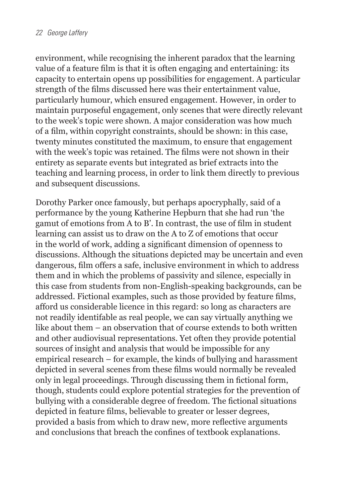environment, while recognising the inherent paradox that the learning value of a feature film is that it is often engaging and entertaining: its capacity to entertain opens up possibilities for engagement. A particular strength of the films discussed here was their entertainment value, particularly humour, which ensured engagement. However, in order to maintain purposeful engagement, only scenes that were directly relevant to the week's topic were shown. A major consideration was how much of a film, within copyright constraints, should be shown: in this case, twenty minutes constituted the maximum, to ensure that engagement with the week's topic was retained. The films were not shown in their entirety as separate events but integrated as brief extracts into the teaching and learning process, in order to link them directly to previous and subsequent discussions.

Dorothy Parker once famously, but perhaps apocryphally, said of a performance by the young Katherine Hepburn that she had run 'the gamut of emotions from A to B'. In contrast, the use of film in student learning can assist us to draw on the A to Z of emotions that occur in the world of work, adding a significant dimension of openness to discussions. Although the situations depicted may be uncertain and even dangerous, film offers a safe, inclusive environment in which to address them and in which the problems of passivity and silence, especially in this case from students from non-English-speaking backgrounds, can be addressed. Fictional examples, such as those provided by feature films, afford us considerable licence in this regard: so long as characters are not readily identifable as real people, we can say virtually anything we like about them – an observation that of course extends to both written and other audiovisual representations. Yet often they provide potential sources of insight and analysis that would be impossible for any empirical research – for example, the kinds of bullying and harassment depicted in several scenes from these films would normally be revealed only in legal proceedings. Through discussing them in fictional form, though, students could explore potential strategies for the prevention of bullying with a considerable degree of freedom. The fictional situations depicted in feature films, believable to greater or lesser degrees, provided a basis from which to draw new, more reflective arguments and conclusions that breach the confines of textbook explanations.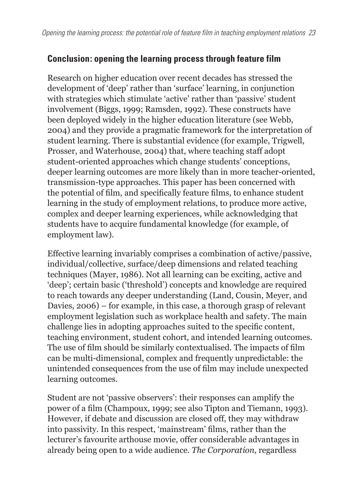## **Conclusion: opening the learning process through feature film**

Research on higher education over recent decades has stressed the development of 'deep' rather than 'surface' learning, in conjunction with strategies which stimulate 'active' rather than 'passive' student involvement (Biggs, 1999; Ramsden, 1992). These constructs have been deployed widely in the higher education literature (see Webb, 2004) and they provide a pragmatic framework for the interpretation of student learning. There is substantial evidence (for example, Trigwell, Prosser, and Waterhouse, 2004) that, where teaching staff adopt student-oriented approaches which change students' conceptions, deeper learning outcomes are more likely than in more teacher-oriented, transmission-type approaches. This paper has been concerned with the potential of film, and specifically feature films, to enhance student learning in the study of employment relations, to produce more active, complex and deeper learning experiences, while acknowledging that students have to acquire fundamental knowledge (for example, of employment law).

Effective learning invariably comprises a combination of active/passive, individual/collective, surface/deep dimensions and related teaching techniques (Mayer, 1986). Not all learning can be exciting, active and 'deep'; certain basic ('threshold') concepts and knowledge are required to reach towards any deeper understanding (Land, Cousin, Meyer, and Davies, 2006) – for example, in this case, a thorough grasp of relevant employment legislation such as workplace health and safety. The main challenge lies in adopting approaches suited to the specific content, teaching environment, student cohort, and intended learning outcomes. The use of film should be similarly contextualised. The impacts of film can be multi-dimensional, complex and frequently unpredictable: the unintended consequences from the use of film may include unexpected learning outcomes.

Student are not 'passive observers': their responses can amplify the power of a film (Champoux, 1999; see also Tipton and Tiemann, 1993). However, if debate and discussion are closed off, they may withdraw into passivity. In this respect, 'mainstream' films, rather than the lecturer's favourite arthouse movie, offer considerable advantages in already being open to a wide audience. *The Corporation*, regardless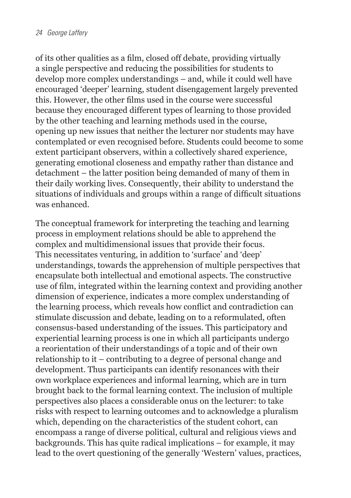of its other qualities as a film, closed off debate, providing virtually a single perspective and reducing the possibilities for students to develop more complex understandings – and, while it could well have encouraged 'deeper' learning, student disengagement largely prevented this. However, the other films used in the course were successful because they encouraged different types of learning to those provided by the other teaching and learning methods used in the course, opening up new issues that neither the lecturer nor students may have contemplated or even recognised before. Students could become to some extent participant observers, within a collectively shared experience, generating emotional closeness and empathy rather than distance and detachment – the latter position being demanded of many of them in their daily working lives. Consequently, their ability to understand the situations of individuals and groups within a range of difficult situations was enhanced.

The conceptual framework for interpreting the teaching and learning process in employment relations should be able to apprehend the complex and multidimensional issues that provide their focus. This necessitates venturing, in addition to 'surface' and 'deep' understandings, towards the apprehension of multiple perspectives that encapsulate both intellectual and emotional aspects. The constructive use of film, integrated within the learning context and providing another dimension of experience, indicates a more complex understanding of the learning process, which reveals how conflict and contradiction can stimulate discussion and debate, leading on to a reformulated, often consensus-based understanding of the issues. This participatory and experiential learning process is one in which all participants undergo a reorientation of their understandings of a topic and of their own relationship to it – contributing to a degree of personal change and development. Thus participants can identify resonances with their own workplace experiences and informal learning, which are in turn brought back to the formal learning context. The inclusion of multiple perspectives also places a considerable onus on the lecturer: to take risks with respect to learning outcomes and to acknowledge a pluralism which, depending on the characteristics of the student cohort, can encompass a range of diverse political, cultural and religious views and backgrounds. This has quite radical implications – for example, it may lead to the overt questioning of the generally 'Western' values, practices,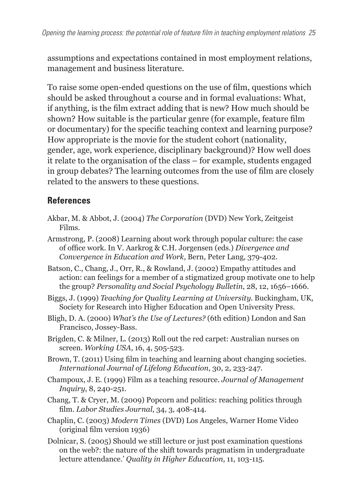assumptions and expectations contained in most employment relations, management and business literature.

To raise some open-ended questions on the use of film, questions which should be asked throughout a course and in formal evaluations: What, if anything, is the film extract adding that is new? How much should be shown? How suitable is the particular genre (for example, feature film or documentary) for the specific teaching context and learning purpose? How appropriate is the movie for the student cohort (nationality, gender, age, work experience, disciplinary background)? How well does it relate to the organisation of the class – for example, students engaged in group debates? The learning outcomes from the use of film are closely related to the answers to these questions.

#### **References**

- Akbar, M. & Abbot, J. (2004) *The Corporation* (DVD) New York, Zeitgeist Films.
- Armstrong, P. (2008) Learning about work through popular culture: the case of office work. In V. Aarkrog & C.H. Jorgensen (eds.) *Divergence and Convergence in Education and Work*, Bern, Peter Lang, 379-402.
- Batson, C., Chang, J., Orr, R., & Rowland, J. (2002) Empathy attitudes and action: can feelings for a member of a stigmatized group motivate one to help the group? *Personality and Social Psychology Bulletin*, 28, 12, 1656–1666.
- Biggs, J. (1999) *Teaching for Quality Learning at University*. Buckingham, UK, Society for Research into Higher Education and Open University Press.
- Bligh, D. A. (2000) *What's the Use of Lectures?* (6th edition) London and San Francisco, Jossey-Bass.
- Brigden, C. & Milner, L. (2013) Roll out the red carpet: Australian nurses on screen. *Working USA*, 16, 4, 505-523.
- Brown, T. (2011) Using film in teaching and learning about changing societies. *International Journal of Lifelong Education*, 30, 2, 233-247.
- Champoux, J. E. (1999) Film as a teaching resource. *Journal of Management Inquiry*, 8, 240-251.
- Chang, T. & Cryer, M. (2009) Popcorn and politics: reaching politics through film. *Labor Studies Journal*, 34, 3, 408-414.
- Chaplin, C. (2003) *Modern Times* (DVD) Los Angeles, Warner Home Video (original film version 1936)
- Dolnicar, S. (2005) Should we still lecture or just post examination questions on the web?: the nature of the shift towards pragmatism in undergraduate lecture attendance.' *Quality in Higher Education*, 11, 103-115.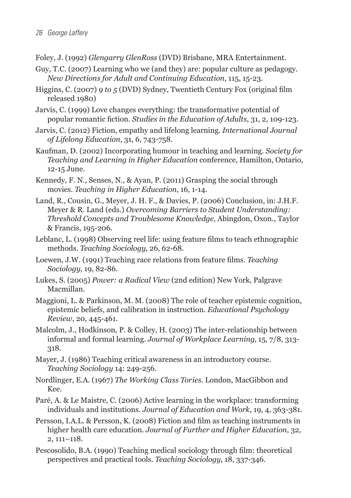- Foley, J. (1992) *Glengarry GlenRoss* (DVD) Brisbane, MRA Entertainment.
- Guy, T.C. (2007) Learning who we (and they) are: popular culture as pedagogy. *New Directions for Adult and Continuing Education*, 115, 15-23.
- Higgins, C. (2007) *9 to 5* (DVD) Sydney, Twentieth Century Fox (original film released 1980)
- Jarvis, C. (1999) Love changes everything: the transformative potential of popular romantic fiction. *Studies in the Education of Adults*, 31, 2, 109-123.
- Jarvis, C. (2012) Fiction, empathy and lifelong learning. *International Journal of Lifelong Education*, 31, 6, 743-758.
- Kaufman, D. (2002) Incorporating humour in teaching and learning. *Society for Teaching and Learning in Higher Education* conference, Hamilton, Ontario, 12-15 June.
- Kennedy, F. N., Senses, N., & Ayan, P. (2011) Grasping the social through movies. *Teaching in Higher Education*, 16, 1-14.
- Land, R., Cousin, G., Meyer, J. H. F., & Davies, P. (2006) Conclusion, in: J.H.F. Meyer & R. Land (eds.) *Overcoming Barriers to Student Understanding: Threshold Concepts and Troublesome Knowledge*, Abingdon, Oxon., Taylor & Francis, 195-206.
- Leblanc, L. (1998) Observing reel life: using feature films to teach ethnographic methods. *Teaching Sociology*, 26, 62-68.
- Loewen, J.W. (1991) Teaching race relations from feature films. *Teaching Sociology*, 19, 82-86.
- Lukes, S. (2005) *Power: a Radical View* (2nd edition) New York, Palgrave Macmillan.
- Maggioni, L. & Parkinson, M. M. (2008) The role of teacher epistemic cognition, epistemic beliefs, and calibration in instruction. *Educational Psychology Review*, 20, 445-461.
- Malcolm, J., Hodkinson, P. & Colley, H. (2003) The inter-relationship between informal and formal learning. *Journal of Workplace Learning*, 15, 7/8, 313- 318.
- Mayer, J. (1986) Teaching critical awareness in an introductory course. *Teaching Sociology* 14: 249-256.
- Nordlinger, E.A. (1967) *The Working Class Tories*. London, MacGibbon and Kee.
- Paré, A. & Le Maistre, C. (2006) Active learning in the workplace: transforming individuals and institutions. *Journal of Education and Work*, 19, 4, 363-381.
- Persson, I.A.L. & Persson, K. (2008) Fiction and film as teaching instruments in higher health care education. *Journal of Further and Higher Education*, 32, 2, 111–118.
- Pescosolido, B.A. (1990) Teaching medical sociology through film: theoretical perspectives and practical tools. *Teaching Sociology*, 18, 337-346.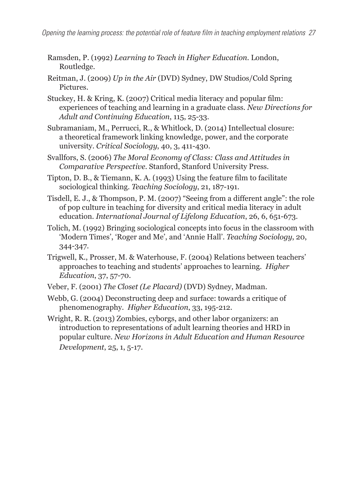- Ramsden, P. (1992) *Learning to Teach in Higher Education*. London, Routledge.
- Reitman, J. (2009) *Up in the Air* (DVD) Sydney, DW Studios/Cold Spring Pictures.
- Stuckey, H. & Kring, K. (2007) Critical media literacy and popular film: experiences of teaching and learning in a graduate class. *New Directions for Adult and Continuing Education*, 115, 25-33.
- Subramaniam, M., Perrucci, R., & Whitlock, D. (2014) Intellectual closure: a theoretical framework linking knowledge, power, and the corporate university. *Critical Sociology*, 40, 3, 411-430.
- Svallfors, S. (2006) *The Moral Economy of Class: Class and Attitudes in Comparative Perspective*. Stanford, Stanford University Press.
- Tipton, D. B., & Tiemann, K. A. (1993) Using the feature film to facilitate sociological thinking. *Teaching Sociology*, 21, 187-191.
- Tisdell, E. J., & Thompson, P. M. (2007) "Seeing from a different angle": the role of pop culture in teaching for diversity and critical media literacy in adult education. *International Journal of Lifelong Education*, 26, 6, 651-673.
- Tolich, M. (1992) Bringing sociological concepts into focus in the classroom with 'Modern Times', 'Roger and Me', and 'Annie Hall'. *Teaching Sociology*, 20, 344-347.
- Trigwell, K., Prosser, M. & Waterhouse, F. (2004) Relations between teachers' approaches to teaching and students' approaches to learning. *Higher Education*, 37, 57-70.
- Veber, F. (2001) *The Closet (Le Placard)* (DVD) Sydney, Madman.
- Webb, G. (2004) Deconstructing deep and surface: towards a critique of phenomenography. *Higher Education*, 33, 195-212.
- Wright, R. R. (2013) Zombies, cyborgs, and other labor organizers: an introduction to representations of adult learning theories and HRD in popular culture. *New Horizons in Adult Education and Human Resource Development*, 25, 1, 5-17.